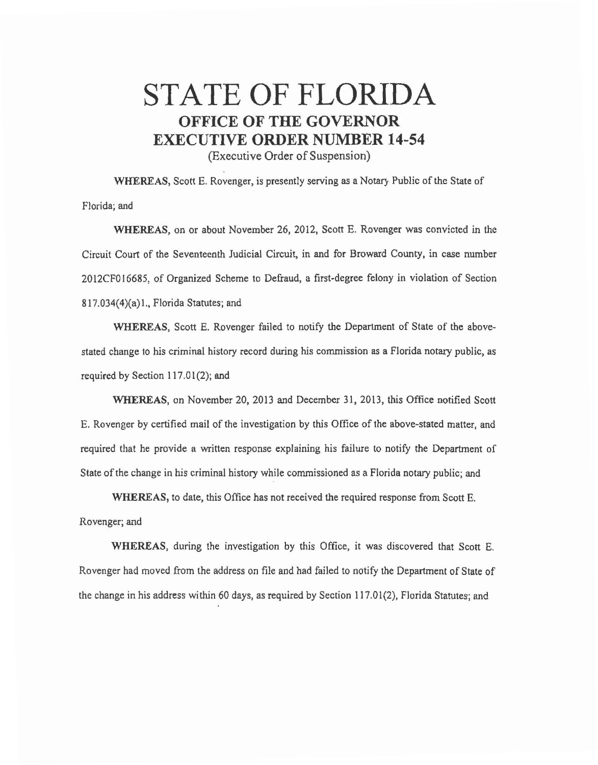## **STATE OF FLORIDA OFFICE OF THE GOVERNOR EXECUTIVE ORDER NUMBER 14-54**

(Executive Order of Suspension)

**WHEREAS,** Scott E. Rovenger, is presently serving as a Notary Public of the State of Florida; and

**WHEREAS,** on or about November 26, 2012, Scott E. Rovenger was convicted in the Circuit Court of the Seventeenth Judicial Circuit, in and for Broward County, in case number 2012CF016685, of Organized Scheme to Defraud, a first-degree felony in violation of Section 817.034(4)(a) 1., Florida Statutes; and

**WHEREAS,** Scott E. Rovenger failed to notify the Department of State of the abovestated change to his criminal history record during his commission as a Florida notary public, as required by Section 117.01(2); and

**WHEREAS,** on November 20, 2013 and December 31, 2013, this Office notified Scott E. Rovenger by certified mail of the investigation by this Office of the above-stated matter, and required that he provide a written response explaining his failure to notify the Department of State of the change in his criminal history while commissioned as a Florida notary public; and

**WHEREAS,** to date, this Office has not received the required response from Scott E. Rovenger; and

**WHEREAS,** during the investigation by this Office, it was discovered that Scott E. Rovenger had moved from the address on file and had failed to notify the Department of State of the change in his address within 60 days, as required by Section 117.01(2), Florida Statutes; and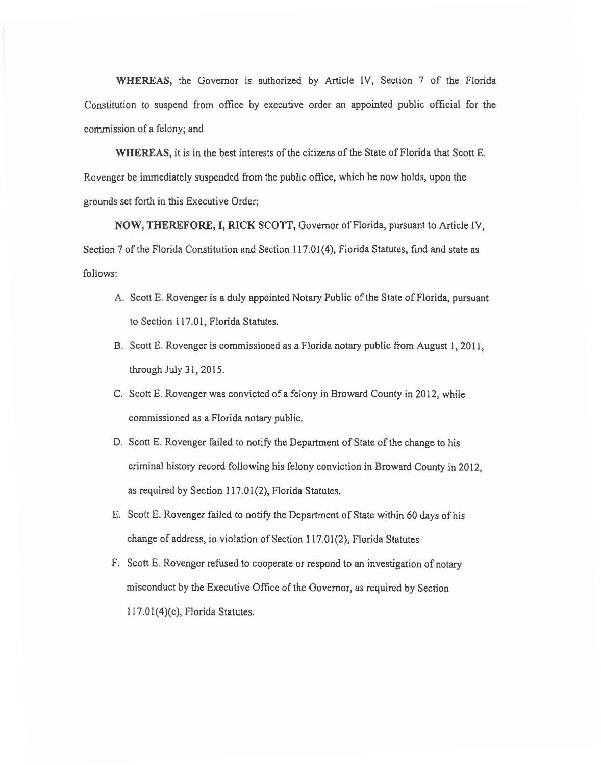**WHEREAS,** the Governor is authorized by Article IV, Section 7 of the Florida Constitution to suspend from office by executive order an appointed public official for the commission of a felony; and

**WHEREAS,** it is in the best interests of the citizens of the State of Florida that Scott E. Rovenger be immediately suspended from the public office, which he now holds, upon the grounds set forth in this Executive Order;

**NOW, THEREFORE, I, RICK SCOTT,** Governor of Florida, pursuant to Article IV, Section 7 of the Florida Constitution and Section 117.01 (4), Florida Statutes, find and state as follows:

- A. Scott E. Rovenger is a duly appointed Notary Public of the State of Florida, pursuant to Section 117.01, Florida Statutes.
- B. Scott E. Rovenger is commissioned as a Florida notary public from August 1, 2011, through July 31, 2015.
- C. Scott E. Rovenger was convicted of a felony in Broward County in 2012, while commissioned as a Florida notary public.
- D. Scott E. Revenger failed to notify the Department of State of the change to his criminal history record following his felony conviction in Broward County in 2012, as required by Section 117.01(2), Florida Statutes.
- E. Scott E. Revenger failed to notify the Department of State within 60 days of his change of address, in violation of Section 117.01 (2), Florida Statutes
- F. Scott E. Rovenger refused to cooperate or respond to an investigation of notary misconduct by the Executive Office of the Governor, as required by Section 1J7.01(4)(c), Florida Statutes.